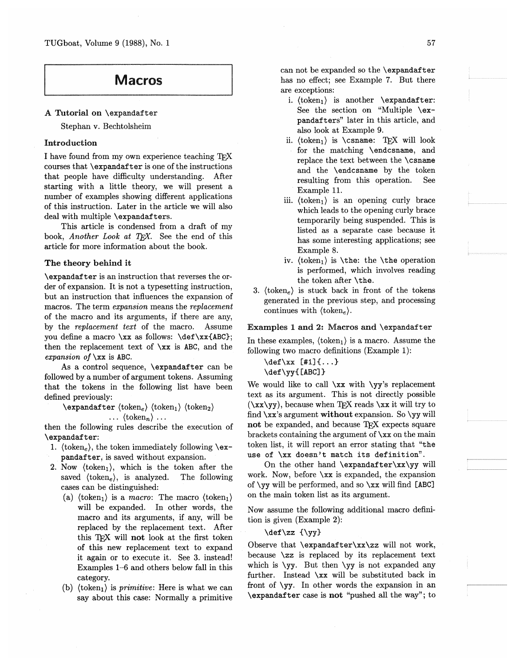TUGboat, Volume 9 (1988), No. 1

# **Macros**

#### A Tutorial on \expandafter

Stephan v. Bechtolsheim

# Introduction

I have found from my own experience teaching TFX courses that *\expandafter* is one of the instructions that people have difficulty understanding. After starting with a little theory, we will present a number of examples showing different applications of this instruction. Later in the article we will also deal with multiple \expandafters.

This article is condensed from a draft of my book, Another Look at TEX. See the end of this article for more information about the book.

# The theory behind it

\expandafter is an instruction that reverses the order of expansion. It is not a typesetting instruction, but an instruction that influences the expansion of macros. The term expansion means the replacement of the macro and its arguments, if there are any, by the replacement text of the macro. Assume you define a macro \xx as follows: \def\xx{ABC}; then the replacement text of  $\x x$  is ABC, and the expansion of  $\x$  is ABC.

As a control sequence, *\expandafter* can be followed by a number of argument tokens. Assuming that the tokens in the following list have been defined previously:

 $\text{expandafter}$  (token<sub>e</sub>) (token<sub>1</sub>) (token<sub>2</sub>)  $\ldots$  (token<sub>n</sub>)  $\ldots$ 

then the following rules describe the execution of \expandafter:

- 1. (token<sub>e</sub>), the token immediately following  $\zeta$ pandafter, is saved without expansion.
- 2. Now  $\langle \text{token}_1 \rangle$ , which is the token after the saved  $\langle \text{token}_e \rangle$ , is analyzed. The following cases can be distinguished:
	- (a)  $\langle \text{token}_1 \rangle$  is a *macro*: The macro  $\langle \text{token}_1 \rangle$ will be expanded. In other words, the macro and its arguments, if any, will be replaced by the replacement text. After this TEX will not look at the first token of this new replacement text to expand it again or to execute it. See 3. instead! Examples 1-6 and others below fall in this category.
	- (b)  $\langle \text{token}_1 \rangle$  is *primitive*: Here is what we can say about this case: Normally a primitive

can not be expanded so the **\expandafter** has no effect; see Example 7. But there are exceptions:

- i.  $\langle \text{token}_1 \rangle$  is another  $\langle \text{expandafter} \rangle$ See the section on "Multiple \expandafters" later in this article, and also look at Example 9.
- ii.  $\{token_1\}$  is  $\Gamma$ : TFX will look for the matching \endcsname, and replace the text between the **\csname** and the \endcsname by the token resulting from this operation. See Example 11.
- iii.  $\langle \text{token}_1 \rangle$  is an opening curly brace which leads to the opening curly brace temporarily being suspended. This is listed as a separate case because it has some interesting applications; see Example 8.
- iv.  $\{token_1\}$  is  $\the$ : the  $\the$  operation is performed, which involves reading the token after \the.
- 3.  $\langle \text{token}_e \rangle$  is stuck back in front of the tokens generated in the previous step, and processing continues with  $\langle \text{token}_e \rangle$ .

#### Examples 1 and 2: Macros and \expandafter

In these examples,  $\langle \text{token}_1 \rangle$  is a macro. Assume the following two macro definitions (Example 1):

```
\def\ x [1] {\dots}\def\yy{[ABC]}
```
We would like to call  $\xx$  with  $\yy$ 's replacement text as its argument. This is not directly possible  $(\xx\yy)$ , because when TEX reads  $\xx$  it will try to find  $\xx$ 's argument without expansion. So  $\yy$  will not be expanded, and because TEX expects square brackets containing the argument of \xx on the main token list, it will report an error stating that "the use of \xx doesn't match its definition".

On the other hand \expandafter\xx\yy will work. Now, before  $\x x$  is expanded, the expansion of \yy will be performed, and so \xx will find [ABC] on the main token list as its argument.

Now assume the following additional macro definition is given (Example 2):

 $\def\zz {\yy}$ 

Observe that \expandafter\xx\zz will not work, because \zz is replaced by its replacement text which is  $\{yy. \}$  But then  $\{yy \}$  is not expanded any further. Instead \xx will be substituted back in front of  $\gamma y$ . In other words the expansion in an \expandafter case is not "pushed all the way"; to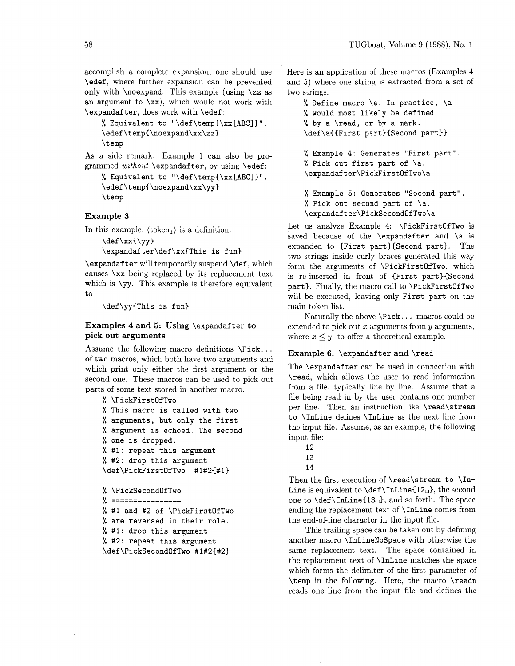accomplish a complete expansion, one should use \edef, where further expansion can be prevented only with \noexpand. This example (using \zz as an argument to  $\langle x \rangle$ , which would not work with \expandafter, does work with \edef:

```
% Equivalent to "\def\temp{\xx [ABC] }".
\edef\temp~\noexpand\xx\zz) 
\temp
```
As a side remark: Example 1 can also be programmed *without* **\expandafter**, by using **\edef:** 

```
% Equivalent to "\def\temp{\xx [ABC]}".
\edef\tempC\noexpand\xx\yy) 
\temp
```
# **Example 3**

In this example,  $\langle \text{token}_1 \rangle$  is a definition.

 $\det \{xy\}$ 

**\expandafter\def\xx(This** is fun)

\expandafter will temporarily suspend \def, which causes \xx being replaced by its replacement text which is  $\gamma y$ . This example is therefore equivalent to

\def\yy(This is fun)

# **Examples 4 and 5: Using** \expandafter **to pick out arguments**

Assume the following macro definitions \Pick... of two macros: which both have two arguments and which print only either the first argument or the second one. These macros can be used to pick out parts of some text stored in another macro.

```
% \PickFirstOfTwo 
% This macro is called with two 
% arguments, but only the first 
% argument is echoed. The second 
% one is dropped. 
% #I: repeat this argument 
% #2: drop this argument 
\def\PickFirstOfTwo #1#2{#1) 
% \PickSecondOfTwo
```

```
\% ================
```

```
% #1 and #2 of \PickFirstOfTwo
```

```
% are reversed in their role.
```

```
% #I: drop this argument
```

```
% #2: repeat this argument 
\def\PickSecondOfTwo #1#2{#2)
```
Here is an application of these macros (Examples 4 and *5)* where one string is extracted from a set of two strings.

% Define macro \a. In practice, \a % would most likely be defined % by a \read, or by a mark. \def\aC(First part){Second part)) % Example 4: Generates "First part". % Pick out first part of \a. **\expandafter\PickFirstOfTwo\a**  % Example 5: Generates "Second part". % Pick out second part of  $\a$ . **\expandafter\PickSecondOfTwo\a** 

Let us analyze Example 4: \PickFirstOfTwo is saved because of the **\expandafter** and **\a** is expanded to {First part}{Second part}. The two strings inside curly braces generated this way form the arguments of \PickFirstOfTwo, which is re-inserted in front of (First part)(Second part). Finally, the macro call to \PickFirstOfTwo will be executed, leaving only First part on the main token list.

Naturally the above \Pick. . . macros could be extended to pick out  $x$  arguments from  $y$  arguments, where  $x \leq y$ , to offer a theoretical example.

#### **Example 6:** \expandafter **and** \read

The \expandafter can be used in connection with \read, which allows the user to read information from a file, typically line by line. Assume that a file being read in by the user contains one number per line. Then an instruction like \read\stream to \InLine defines \InLine as the next line from the input file. Assume, as an example, the following input file:

- 12
- 13

14

Then the first execution of  $\read\stream$  to  $\In$ -Line is equivalent to  $\def\InLine{12<sub>LI</sub>}$ , the second one to  $\def\InLine{13<sub>u</sub>}$ , and so forth. The space ending the replacement text of \InLine comes from the end-of-line character in the input file.

This trailing space can be taken out by defining another macro \InLineNoSpace with otherwise the same replacement text. The space contained in the replacement text of \InLine matches the space which forms the delimiter of the first parameter of \temp in the following. Here, the macro \readn reads one line from the input file and defines the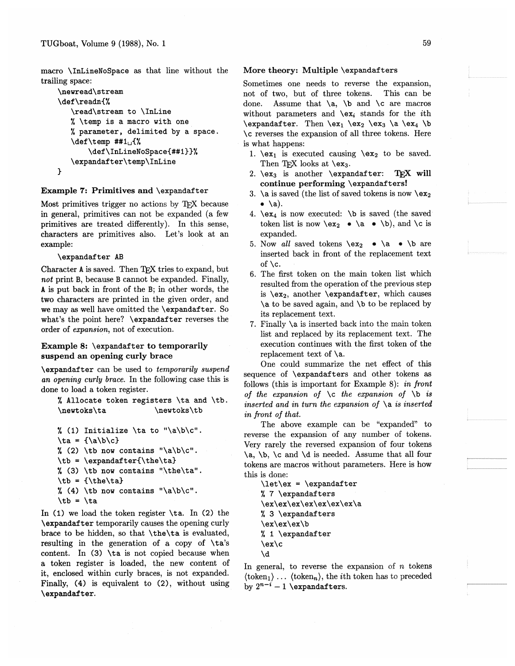macro \InLineNoSpace as that line without the trailing space:

```
\newread\stream
\def\readn{%
   \read\stream to \InLine
   % \temp is a macro with one
   % parameter, delimited by a space.
   \def\temp ##1<sub>u</sub>{%
        \def\InLineNoSpace{##1}}%
   \expandafter\temp\InLine
\mathbf{r}
```
### Example 7: Primitives and \expandafter

Most primitives trigger no actions by TEX because in general, primitives can not be expanded (a few primitives are treated differently). In this sense, characters are primitives also. Let's look at an example:

#### \expandafter AB

Character A is saved. Then TFX tries to expand, but not print B, because B cannot be expanded. Finally, A is put back in front of the B; in other words, the two characters are printed in the given order, and we may as well have omitted the \expandafter. So what's the point here? \expandafter reverses the order of expansion, not of execution.

# Example 8: \expandafter to temporarily suspend an opening curly brace

\expandafter can be used to temporarily suspend an opening curly brace. In the following case this is done to load a token register.

```
% Allocate token registers \ta and \tb.
\newtoks\ta
                       \newtoks\tb
```

```
% (1) Initialize \ta to "\a\b\c".
```

```
\tau = {\langle a \rangle b \rangle c}
```

```
\lambda (2) \tb now contains "\a\b\c".
```

```
\tb = \expandafter{\the\ta}
```

```
\frac{1}{2} (3) \tb now contains "\the\ta".
```

```
\tb = {\theta \cdot ta}
```

```
\langle (4) \setminus (1) ow contains "\langle (4) \setminus (1) \rangle".
```

```
\setminustb = \setminusta
```
In (1) we load the token register  $\ta$ . In (2) the **\expandafter** temporarily causes the opening curly brace to be hidden, so that \the\ta is evaluated, resulting in the generation of a copy of \ta's content. In (3) \ta is not copied because when a token register is loaded, the new content of it, enclosed within curly braces, is not expanded. Finally, (4) is equivalent to (2), without using \expandafter.

# More theory: Multiple \expandafters

Sometimes one needs to reverse the expansion. not of two, but of three tokens. This can be Assume that  $\a$ ,  $\b$  and  $\c$  are macros  $done.$ without parameters and  $\langle \mathbf{x}_i \rangle$  stands for the *i*th \expandafter. Then \ex<sub>1</sub> \ex<sub>2</sub> \ex<sub>3</sub> \a \ex<sub>4</sub> \b \c reverses the expansion of all three tokens. Here is what happens:

- 1.  $\text{lex}_1$  is executed causing  $\text{lex}_2$  to be saved. Then TFX looks at  $\text{ex}_3$ .
- 2.  $\text{ex}_3$  is another  $\text{ex}_3$ TFX will continue performing \expandafters!
- 3. \a is saved (the list of saved tokens is now  $\exe$  $\bullet \; \lambda$ ).
- 4.  $\text{lex}_4$  is now executed:  $\mathcal{A}$  is saved (the saved token list is now  $\begin{cases} \alpha & \lambda \end{cases}$   $\bullet \lambda$   $\bullet \lambda$ ), and  $\lambda$ c is expanded.
- 5. Now all saved tokens  $\begin{cases} x_2 \cdot \lambda & \text{b} \text{ are} \\ y_2 \cdot \lambda & \text{c} \end{cases}$ inserted back in front of the replacement text of  $\c.$
- 6. The first token on the main token list which resulted from the operation of the previous step is  $\ex_2$ , another  $\exp{andafter}$ , which causes \a to be saved again, and \b to be replaced by its replacement text.
- 7. Finally  $\a$  is inserted back into the main token list and replaced by its replacement text. The execution continues with the first token of the replacement text of \a.

One could summarize the net effect of this sequence of \expandafters and other tokens as follows (this is important for Example 8): in front of the expansion of  $\operatorname{c}$  the expansion of  $\operatorname{b}$  is inserted and in turn the expansion of  $\a$  is inserted in front of that.

The above example can be "expanded" to reverse the expansion of any number of tokens. Very rarely the reversed expansion of four tokens \a, \b, \c and \d is needed. Assume that all four tokens are macros without parameters. Here is how this is done:

```
\let\ex = \expandafter% 7 \expandafters
\ex\ex\ex\ex\ex\ex\ex\a
% 3 \expandafters
\ex\ex\ex\b
% 1 \expandafter
\ex/c\lambda
```
In general, to reverse the expansion of  $n$  tokens  $\langle \text{token}_1 \rangle$ ...  $\langle \text{token}_n \rangle$ , the *i*th token has to preceded by  $2^{n-i} - 1$  \expandafters.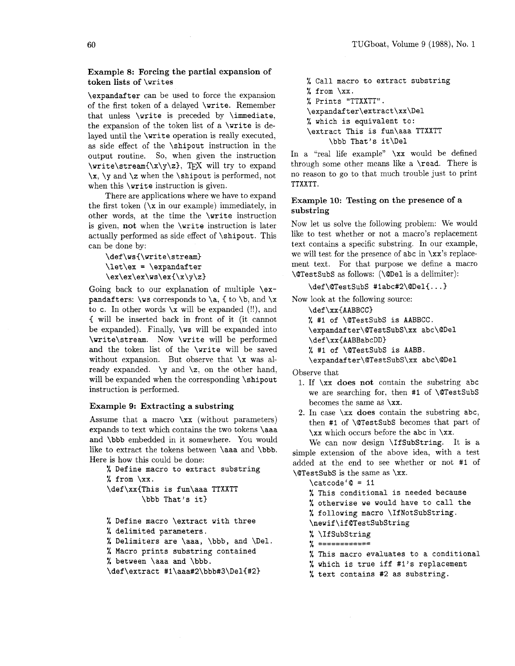## Example 8: Forcing the partial expansion of token lists of \writes

\expandafter can be used to force the expansion of the first token of a delayed \write. Remember that unless \write is preceded by \immediate, the expansion of the token list of a \write is delayed until the \write operation is really executed, as side effect of the \shipout instruction in the output routine. So, when given the instruction  $\forall x \in \mathbb{Z}, T_X$  will try to expand  $\x, \y \text{ and } \z$  when the  $\sin\theta$  is performed, not when this **\write** instruction is given.

There are applications where we have to expand the first token  $(\x$  in our example) immediately, in other words, at the time the \write instruction is given, not when the \write instruction is later actually performed as side effect of \shipout. This can be done by:

\def \ws(\write\stream)  $\let\ex = \expandafter$  $\ex\ex\x\wx\ex\ex\ex\dx$ 

Going back to our explanation of multiple \expandafters:  $\wedge$  corresponds to  $\a$ , { to  $\b$ , and  $\x$ to c. In other words  $x$  will be expanded (!!), and ( will be inserted back in front of it (it cannot be expanded). Finally, \ws will be expanded into \write\stream. Now \write will be performed and the token list of the \write will be saved without expansion. But observe that  $x$  was already expanded.  $\y$  and  $\zeta$ , on the other hand, will be expanded when the corresponding \shipout instruction is performed.

#### Example 9: Extracting a substring

Assume that a macro  $\x x$  (without parameters) expands to text which contains the two tokens \aaa and \bbb embedded in it somewhere. You would like to extract the tokens between \aaa and \bbb. Here is how this could be done:

```
% Define macro to extract substring 
% from \xx.
\def\xx(This is fun\aaa TTXXTT 
        \bbb That's it)
```
% Define macro \extract with three

**7,** delimited parameters.

% Delimiters are \aaa, \bbb, and \Del.

% Macro prints substring contained

% between \aaa and \bbb.

\def\extract #l\aaa#2\bbb#3\Del(#2)

% Call macro to extract substring % from \xx. % Prints "TTXXTT". **\expandafter\extract\xx\Del**  % which is equivalent to: \extract This is fun\aaa TTXXTT \bbb That's it\Del

In a "real life example" \xx would be defined through some other means like a \read. There is no reason to go to that much trouble just to print TTXXTT.

# Example 10: Testing on the presence of a substring

Now let us solve the following problem: We would like to test whether or not a macro's replacement text contains a specific substring. In our example, we will test for the presence of abc in  $\xx$ 's replacement text. For that purpose we define a macro \@TestSubS as follows: (\@Del is a delimiter):

# \def \@Testsubs #labc#2\@Del{. . . )

Now look at the following source:

\def\xx{AABBCC}

% #1 of \@Testsubs is AABBCC. **\expandafter\@TestSubS\xx** abc\@Del \def\xx(AABBabcDD)

% #1 of \@Testsubs is AABB.

**\expandafter\@TestSubS\xx** abc\QDel

Observe that

- 1. If  $\xrightarrows$  does not contain the substring abc we are searching for, then #1 of \@Testsubs becomes the same as \xx.
- 2. In case  $\x$  does contain the substring abc, then #I of \@Testsubs becomes that part of \xx which occurs before the abc in \xx.

We can now design **\IfSubString**. It is a simple extension of the above idea, with a test added at the end to see whether or not #I of \@Testsubs is the same as \xx.

 $\c{actcode}'@ = 11$ 

% This conditional is needed because % otherwise we would have to call the % following macro \If NotSubString.

\newif\if@TestSubString

% \Ifsubstring

**7** ============

- % This macro evaluates to a conditional
- % which is true iff #l's replacement
- % text contains #2 as substring.